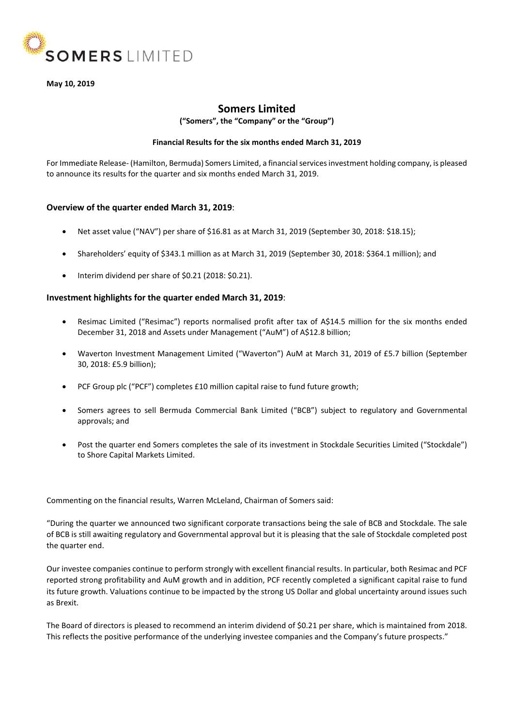

**May 10, 2019**

# **Somers Limited**

**("Somers", the "Company" or the "Group")**

## **Financial Results for the six months ended March 31, 2019**

For Immediate Release- (Hamilton, Bermuda) Somers Limited, a financial services investment holding company, is pleased to announce its results for the quarter and six months ended March 31, 2019.

## **Overview of the quarter ended March 31, 2019**:

- Net asset value ("NAV") per share of \$16.81 as at March 31, 2019 (September 30, 2018: \$18.15);
- Shareholders' equity of \$343.1 million as at March 31, 2019 (September 30, 2018: \$364.1 million); and
- Interim dividend per share of \$0.21 (2018: \$0.21).

## **Investment highlights for the quarter ended March 31, 2019**:

- Resimac Limited ("Resimac") reports normalised profit after tax of A\$14.5 million for the six months ended December 31, 2018 and Assets under Management ("AuM") of A\$12.8 billion;
- Waverton Investment Management Limited ("Waverton") AuM at March 31, 2019 of £5.7 billion (September 30, 2018: £5.9 billion);
- PCF Group plc ("PCF") completes £10 million capital raise to fund future growth;
- Somers agrees to sell Bermuda Commercial Bank Limited ("BCB") subject to regulatory and Governmental approvals; and
- Post the quarter end Somers completes the sale of its investment in Stockdale Securities Limited ("Stockdale") to Shore Capital Markets Limited.

Commenting on the financial results, Warren McLeland, Chairman of Somers said:

"During the quarter we announced two significant corporate transactions being the sale of BCB and Stockdale. The sale of BCB is still awaiting regulatory and Governmental approval but it is pleasing that the sale of Stockdale completed post the quarter end.

Our investee companies continue to perform strongly with excellent financial results. In particular, both Resimac and PCF reported strong profitability and AuM growth and in addition, PCF recently completed a significant capital raise to fund its future growth. Valuations continue to be impacted by the strong US Dollar and global uncertainty around issues such as Brexit.

The Board of directors is pleased to recommend an interim dividend of \$0.21 per share, which is maintained from 2018. This reflects the positive performance of the underlying investee companies and the Company's future prospects."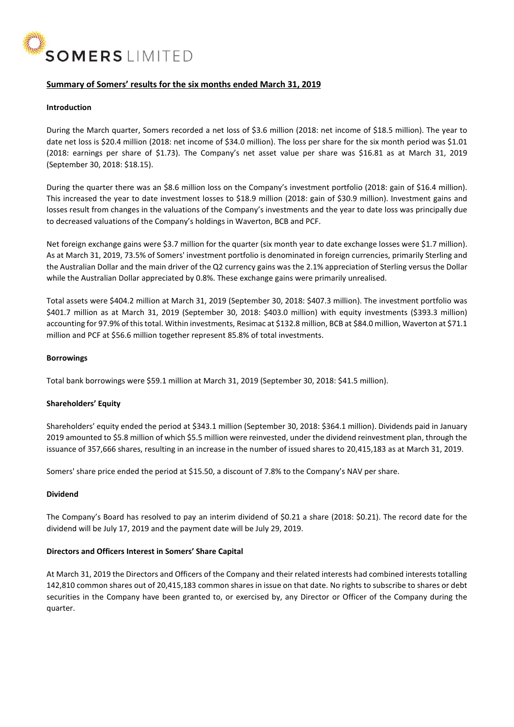

## **Summary of Somers' results for the six months ended March 31, 2019**

#### **Introduction**

During the March quarter, Somers recorded a net loss of \$3.6 million (2018: net income of \$18.5 million). The year to date net loss is \$20.4 million (2018: net income of \$34.0 million). The loss per share for the six month period was \$1.01 (2018: earnings per share of \$1.73). The Company's net asset value per share was \$16.81 as at March 31, 2019 (September 30, 2018: \$18.15).

During the quarter there was an \$8.6 million loss on the Company's investment portfolio (2018: gain of \$16.4 million). This increased the year to date investment losses to \$18.9 million (2018: gain of \$30.9 million). Investment gains and losses result from changes in the valuations of the Company's investments and the year to date loss was principally due to decreased valuations of the Company's holdings in Waverton, BCB and PCF.

Net foreign exchange gains were \$3.7 million for the quarter (six month year to date exchange losses were \$1.7 million). As at March 31, 2019, 73.5% of Somers' investment portfolio is denominated in foreign currencies, primarily Sterling and the Australian Dollar and the main driver of the Q2 currency gains was the 2.1% appreciation of Sterling versus the Dollar while the Australian Dollar appreciated by 0.8%. These exchange gains were primarily unrealised.

Total assets were \$404.2 million at March 31, 2019 (September 30, 2018: \$407.3 million). The investment portfolio was \$401.7 million as at March 31, 2019 (September 30, 2018: \$403.0 million) with equity investments (\$393.3 million) accounting for 97.9% of this total. Within investments, Resimac at \$132.8 million, BCB at \$84.0 million, Waverton at \$71.1 million and PCF at \$56.6 million together represent 85.8% of total investments.

#### **Borrowings**

Total bank borrowings were \$59.1 million at March 31, 2019 (September 30, 2018: \$41.5 million).

## **Shareholders' Equity**

Shareholders' equity ended the period at \$343.1 million (September 30, 2018: \$364.1 million). Dividends paid in January 2019 amounted to \$5.8 million of which \$5.5 million were reinvested, under the dividend reinvestment plan, through the issuance of 357,666 shares, resulting in an increase in the number of issued shares to 20,415,183 as at March 31, 2019.

Somers' share price ended the period at \$15.50, a discount of 7.8% to the Company's NAV per share.

#### **Dividend**

The Company's Board has resolved to pay an interim dividend of \$0.21 a share (2018: \$0.21). The record date for the dividend will be July 17, 2019 and the payment date will be July 29, 2019.

## **Directors and Officers Interest in Somers' Share Capital**

At March 31, 2019 the Directors and Officers of the Company and their related interests had combined interests totalling 142,810 common shares out of 20,415,183 common shares in issue on that date. No rights to subscribe to shares or debt securities in the Company have been granted to, or exercised by, any Director or Officer of the Company during the quarter.